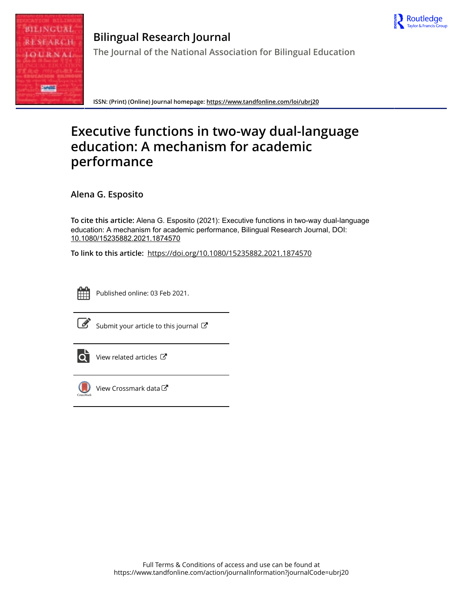



**Bilingual Research Journal The Journal of the National Association for Bilingual Education**

**ISSN: (Print) (Online) Journal homepage:<https://www.tandfonline.com/loi/ubrj20>**

# **Executive functions in two-way dual-language education: A mechanism for academic performance**

**Alena G. Esposito**

**To cite this article:** Alena G. Esposito (2021): Executive functions in two-way dual-language education: A mechanism for academic performance, Bilingual Research Journal, DOI: [10.1080/15235882.2021.1874570](https://www.tandfonline.com/action/showCitFormats?doi=10.1080/15235882.2021.1874570)

**To link to this article:** <https://doi.org/10.1080/15235882.2021.1874570>



Published online: 03 Feb 2021.



 $\overrightarrow{S}$  [Submit your article to this journal](https://www.tandfonline.com/action/authorSubmission?journalCode=ubrj20&show=instructions)  $\overrightarrow{S}$ 



 $\overrightarrow{Q}$  [View related articles](https://www.tandfonline.com/doi/mlt/10.1080/15235882.2021.1874570)  $\overrightarrow{C}$ 



 $\bigcirc$  [View Crossmark data](http://crossmark.crossref.org/dialog/?doi=10.1080/15235882.2021.1874570&domain=pdf&date_stamp=2021-02-03) $\mathbb{Z}$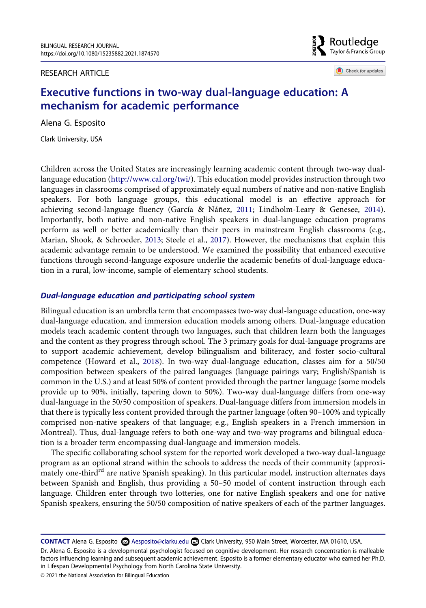RESEARCH ARTICLE

**B** Routledge Taylor & Francis Group

Check for updates

## **Executive functions in two-way dual-language education: A mechanism for academic performance**

Alena G. Esposito

Clark University, USA

<span id="page-1-0"></span>Children across the United States are increasingly learning academic content through two-way duallanguage education [\(http://www.cal.org/twi/\)](http://www.cal.org/twi/). This education model provides instruction through two languages in classrooms comprised of approximately equal numbers of native and non-native English speakers. For both language groups, this educational model is an effective approach for achieving second-language fluency (García & Náñez, [2011;](#page-15-0) Lindholm-Leary & Genesee, [2014](#page-15-1)). Importantly, both native and non-native English speakers in dual-language education programs perform as well or better academically than their peers in mainstream English classrooms (e.g., Marian, Shook, & Schroeder, [2013;](#page-15-2) Steele et al., [2017\)](#page-16-0). However, the mechanisms that explain this academic advantage remain to be understood. We examined the possibility that enhanced executive functions through second-language exposure underlie the academic benefits of dual-language education in a rural, low-income, sample of elementary school students.

## <span id="page-1-2"></span>*Dual-language education and participating school system*

<span id="page-1-1"></span>Bilingual education is an umbrella term that encompasses two-way dual-language education, one-way dual-language education, and immersion education models among others. Dual-language education models teach academic content through two languages, such that children learn both the languages and the content as they progress through school. The 3 primary goals for dual-language programs are to support academic achievement, develop bilingualism and biliteracy, and foster socio-cultural competence (Howard et al., [2018](#page-15-3)). In two-way dual-language education, classes aim for a 50/50 composition between speakers of the paired languages (language pairings vary; English/Spanish is common in the U.S.) and at least 50% of content provided through the partner language (some models provide up to 90%, initially, tapering down to 50%). Two-way dual-language differs from one-way dual-language in the 50/50 composition of speakers. Dual-language differs from immersion models in that there is typically less content provided through the partner language (often 90–100% and typically comprised non-native speakers of that language; e.g., English speakers in a French immersion in Montreal). Thus, dual-language refers to both one-way and two-way programs and bilingual education is a broader term encompassing dual-language and immersion models.

The specific collaborating school system for the reported work developed a two-way dual-language program as an optional strand within the schools to address the needs of their community (approximately one-third<sup>rd</sup> are native Spanish speaking). In this particular model, instruction alternates days between Spanish and English, thus providing a 50–50 model of content instruction through each language. Children enter through two lotteries, one for native English speakers and one for native Spanish speakers, ensuring the 50/50 composition of native speakers of each of the partner languages.

CONTACT Alena G. Esposito <sup>2</sup> Aesposito@clarku.edu <sup>2</sup> Clark University, 950 Main Street, Worcester, MA 01610, USA.

Dr. Alena G. Esposito is a developmental psychologist focused on cognitive development. Her research concentration is malleable factors influencing learning and subsequent academic achievement. Esposito is a former elementary educator who earned her Ph.D. in Lifespan Developmental Psychology from North Carolina State University.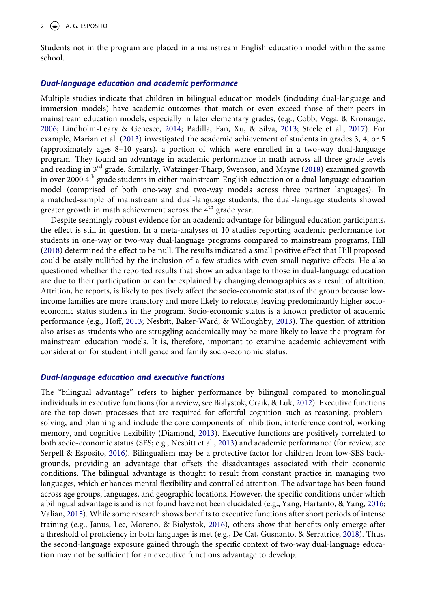Students not in the program are placed in a mainstream English education model within the same school.

#### *Dual-language education and academic performance*

<span id="page-2-8"></span><span id="page-2-1"></span>Multiple studies indicate that children in bilingual education models (including dual-language and immersion models) have academic outcomes that match or even exceed those of their peers in mainstream education models, especially in later elementary grades, (e.g., Cobb, Vega, & Kronauge, [2006](#page-15-4); Lindholm-Leary & Genesee, [2014](#page-15-1); Padilla, Fan, Xu, & Silva, [2013](#page-16-1); Steele et al., [2017\)](#page-16-0). For example, Marian et al. [\(2013](#page-15-2)) investigated the academic achievement of students in grades 3, 4, or 5 (approximately ages 8–10 years), a portion of which were enrolled in a two-way dual-language program. They found an advantage in academic performance in math across all three grade levels and reading in 3rd grade. Similarly, Watzinger-Tharp, Swenson, and Mayne [\(2018](#page-16-2)) examined growth in over 2000  $4<sup>th</sup>$  grade students in either mainstream English education or a dual-language education model (comprised of both one-way and two-way models across three partner languages). In a matched-sample of mainstream and dual-language students, the dual-language students showed greater growth in math achievement across the  $4<sup>th</sup>$  grade year.

<span id="page-2-11"></span><span id="page-2-4"></span>Despite seemingly robust evidence for an academic advantage for bilingual education participants, the effect is still in question. In a meta-analyses of 10 studies reporting academic performance for students in one-way or two-way dual-language programs compared to mainstream programs, Hill [\(2018\)](#page-15-5) determined the effect to be null. The results indicated a small positive effect that Hill proposed could be easily nullified by the inclusion of a few studies with even small negative effects. He also questioned whether the reported results that show an advantage to those in dual-language education are due to their participation or can be explained by changing demographics as a result of attrition. Attrition, he reports, is likely to positively affect the socio-economic status of the group because lowincome families are more transitory and more likely to relocate, leaving predominantly higher socioeconomic status students in the program. Socio-economic status is a known predictor of academic performance (e.g., Hoff, [2013](#page-15-6); Nesbitt, Baker-Ward, & Willoughby, [2013\)](#page-16-3). The question of attrition also arises as students who are struggling academically may be more likely to leave the program for mainstream education models. It is, therefore, important to examine academic achievement with consideration for student intelligence and family socio-economic status.

#### <span id="page-2-5"></span>*Dual-language education and executive functions*

<span id="page-2-12"></span><span id="page-2-10"></span><span id="page-2-9"></span><span id="page-2-7"></span><span id="page-2-6"></span><span id="page-2-3"></span><span id="page-2-2"></span><span id="page-2-0"></span>The "bilingual advantage" refers to higher performance by bilingual compared to monolingual individuals in executive functions (for a review, see Bialystok, Craik, & Luk, [2012](#page-15-7)). Executive functions are the top-down processes that are required for effortful cognition such as reasoning, problemsolving, and planning and include the core components of inhibition, interference control, working memory, and cognitive flexibility (Diamond, [2013\)](#page-15-8). Executive functions are positively correlated to both socio-economic status (SES; e.g., Nesbitt et al., [2013](#page-16-3)) and academic performance (for review, see Serpell & Esposito, [2016\)](#page-16-4). Bilingualism may be a protective factor for children from low-SES backgrounds, providing an advantage that offsets the disadvantages associated with their economic conditions. The bilingual advantage is thought to result from constant practice in managing two languages, which enhances mental flexibility and controlled attention. The advantage has been found across age groups, languages, and geographic locations. However, the specific conditions under which a bilingual advantage is and is not found have not been elucidated (e.g., Yang, Hartanto, & Yang, [2016;](#page-16-5) Valian, [2015](#page-16-6)). While some research shows benefits to executive functions after short periods of intense training (e.g., Janus, Lee, Moreno, & Bialystok, [2016](#page-15-9)), others show that benefits only emerge after a threshold of proficiency in both languages is met (e.g., De Cat, Gusnanto, & Serratrice, [2018](#page-15-10)). Thus, the second-language exposure gained through the specific context of two-way dual-language education may not be sufficient for an executive functions advantage to develop.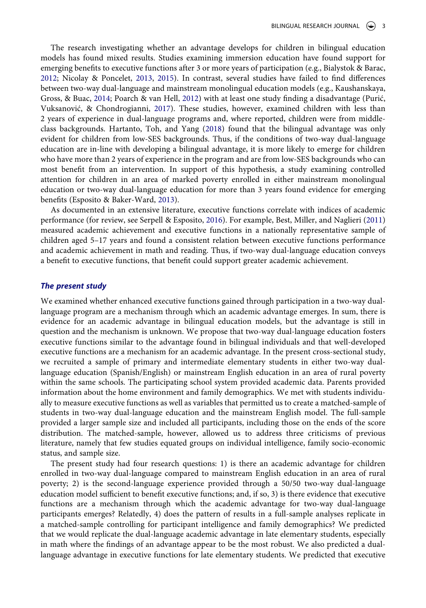<span id="page-3-6"></span><span id="page-3-5"></span><span id="page-3-4"></span><span id="page-3-3"></span><span id="page-3-1"></span>The research investigating whether an advantage develops for children in bilingual education models has found mixed results. Studies examining immersion education have found support for emerging benefits to executive functions after 3 or more years of participation (e.g., Bialystok & Barac, [2012](#page-15-11); Nicolay & Poncelet, [2013](#page-16-7), [2015\)](#page-16-8). In contrast, several studies have failed to find differences between two-way dual-language and mainstream monolingual education models (e.g., Kaushanskaya, Gross, & Buac, [2014](#page-15-12); Poarch & van Hell, [2012\)](#page-16-9) with at least one study finding a disadvantage (Purić, Vuksanović, & Chondrogianni, [2017\)](#page-16-10). These studies, however, examined children with less than 2 years of experience in dual-language programs and, where reported, children were from middleclass backgrounds. Hartanto, Toh, and Yang [\(2018](#page-15-13)) found that the bilingual advantage was only evident for children from low-SES backgrounds. Thus, if the conditions of two-way dual-language education are in-line with developing a bilingual advantage, it is more likely to emerge for children who have more than 2 years of experience in the program and are from low-SES backgrounds who can most benefit from an intervention. In support of this hypothesis, a study examining controlled attention for children in an area of marked poverty enrolled in either mainstream monolingual education or two-way dual-language education for more than 3 years found evidence for emerging benefits (Esposito & Baker-Ward, [2013](#page-15-14)).

<span id="page-3-2"></span><span id="page-3-0"></span>As documented in an extensive literature, executive functions correlate with indices of academic performance (for review, see Serpell & Esposito, [2016](#page-16-4)). For example, Best, Miller, and Naglieri [\(2011\)](#page-15-15) measured academic achievement and executive functions in a nationally representative sample of children aged 5–17 years and found a consistent relation between executive functions performance and academic achievement in math and reading. Thus, if two-way dual-language education conveys a benefit to executive functions, that benefit could support greater academic achievement.

### *The present study*

We examined whether enhanced executive functions gained through participation in a two-way duallanguage program are a mechanism through which an academic advantage emerges. In sum, there is evidence for an academic advantage in bilingual education models, but the advantage is still in question and the mechanism is unknown. We propose that two-way dual-language education fosters executive functions similar to the advantage found in bilingual individuals and that well-developed executive functions are a mechanism for an academic advantage. In the present cross-sectional study, we recruited a sample of primary and intermediate elementary students in either two-way duallanguage education (Spanish/English) or mainstream English education in an area of rural poverty within the same schools. The participating school system provided academic data. Parents provided information about the home environment and family demographics. We met with students individually to measure executive functions as well as variables that permitted us to create a matched-sample of students in two-way dual-language education and the mainstream English model. The full-sample provided a larger sample size and included all participants, including those on the ends of the score distribution. The matched-sample, however, allowed us to address three criticisms of previous literature, namely that few studies equated groups on individual intelligence, family socio-economic status, and sample size.

The present study had four research questions: 1) is there an academic advantage for children enrolled in two-way dual-language compared to mainstream English education in an area of rural poverty; 2) is the second-language experience provided through a 50/50 two-way dual-language education model sufficient to benefit executive functions; and, if so, 3) is there evidence that executive functions are a mechanism through which the academic advantage for two-way dual-language participants emerges? Relatedly, 4) does the pattern of results in a full-sample analyses replicate in a matched-sample controlling for participant intelligence and family demographics? We predicted that we would replicate the dual-language academic advantage in late elementary students, especially in math where the findings of an advantage appear to be the most robust. We also predicted a duallanguage advantage in executive functions for late elementary students. We predicted that executive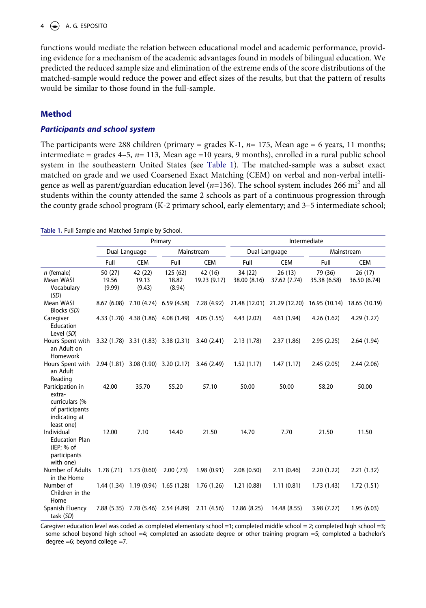## $4 \quad (*)$  A. G. ESPOSITO

functions would mediate the relation between educational model and academic performance, providing evidence for a mechanism of the academic advantages found in models of bilingual education. We predicted the reduced sample size and elimination of the extreme ends of the score distributions of the matched-sample would reduce the power and effect sizes of the results, but that the pattern of results would be similar to those found in the full-sample.

## **Method**

## *Participants and school system*

The participants were 288 children (primary = grades K-1,  $n= 175$ , Mean age = 6 years, 11 months; intermediate = grades 4–5, *n*= 113, Mean age =10 years, 9 months), enrolled in a rural public school system in the southeastern United States (see [Table 1\)](#page-4-0). The matched-sample was a subset exact matched on grade and we used Coarsened Exact Matching (CEM) on verbal and non-verbal intelligence as well as parent/guardian education level (*n*=136). The school system includes 266 mi2 and all students within the county attended the same 2 schools as part of a continuous progression through the county grade school program (K-2 primary school, early elementary; and 3–5 intermediate school;

<span id="page-4-0"></span>

|  |  |  | Table 1. Full Sample and Matched Sample by School. |  |
|--|--|--|----------------------------------------------------|--|
|  |  |  |                                                    |  |

|                                                                                                |                             |                                     | Primary                             |                         | Intermediate            |                                           |                         |                        |  |
|------------------------------------------------------------------------------------------------|-----------------------------|-------------------------------------|-------------------------------------|-------------------------|-------------------------|-------------------------------------------|-------------------------|------------------------|--|
|                                                                                                | Dual-Language<br>Mainstream |                                     |                                     |                         | Dual-Language           |                                           | Mainstream              |                        |  |
|                                                                                                | Full                        | <b>CEM</b>                          | Full                                | <b>CEM</b>              | Full                    | <b>CEM</b>                                | Full                    | <b>CEM</b>             |  |
| $n$ (female)<br>Mean WASI<br>Vocabulary<br>(SD)                                                | 50 (27)<br>19.56<br>(9.99)  | 42 (22)<br>19.13<br>(9.43)          | 125(62)<br>18.82<br>(8.94)          | 42 (16)<br>19.23 (9.17) | 34 (22)<br>38.00 (8.16) | 26(13)<br>37.62 (7.74)                    | 79 (36)<br>35.38 (6.58) | 26(17)<br>36.50 (6.74) |  |
| Mean WASI<br>Blocks (SD)                                                                       |                             | 8.67 (6.08) 7.10 (4.74) 6.59 (4.58) |                                     | 7.28 (4.92)             |                         | 21.48 (12.01) 21.29 (12.20) 16.95 (10.14) |                         | 18.65 (10.19)          |  |
| Caregiver<br>Education<br>Level (SD)                                                           |                             | 4.33 (1.78) 4.38 (1.86) 4.08 (1.49) |                                     | 4.05(1.55)              | 4.43(2.02)              | 4.61 (1.94)                               | 4.26(1.62)              | 4.29 (1.27)            |  |
| Hours Spent with<br>an Adult on<br>Homework                                                    |                             | 3.32 (1.78) 3.31 (1.83) 3.38 (2.31) |                                     | 3.40(2.41)              | 2.13(1.78)              | 2.37(1.86)                                | 2.95(2.25)              | 2.64(1.94)             |  |
| Hours Spent with<br>an Adult<br>Reading                                                        |                             | 2.94 (1.81) 3.08 (1.90) 3.20 (2.17) |                                     | 3.46(2.49)              | 1.52(1.17)              | 1.47(1.17)                                | 2.45(2.05)              | 2.44(2.06)             |  |
| Participation in<br>extra-<br>curriculars (%<br>of participants<br>indicating at<br>least one) | 42.00                       | 35.70                               | 55.20                               | 57.10                   | 50.00                   | 50.00                                     | 58.20                   | 50.00                  |  |
| Individual<br><b>Education Plan</b><br>(IEP; % of<br>participants<br>with one)                 | 12.00                       | 7.10                                | 14.40                               | 21.50                   | 14.70                   | 7.70                                      | 21.50                   | 11.50                  |  |
| Number of Adults<br>in the Home                                                                | 1.78(0.71)                  | 1.73(0.60)                          | 2.00(0.73)                          | 1.98(0.91)              | 2.08(0.50)              | 2.11(0.46)                                | 2.20(1.22)              | 2.21(1.32)             |  |
| Number of<br>Children in the<br>Home                                                           |                             | 1.44 (1.34) 1.19 (0.94) 1.65 (1.28) |                                     | 1.76(1.26)              | 1.21(0.88)              | 1.11(0.81)                                | 1.73(1.43)              | 1.72(1.51)             |  |
| Spanish Fluency<br>task (SD)                                                                   |                             |                                     | 7.88 (5.35) 7.78 (5.46) 2.54 (4.89) | 2.11(4.56)              | 12.86 (8.25)            | 14.48 (8.55)                              | 3.98(7.27)              | 1.95(6.03)             |  |

Caregiver education level was coded as completed elementary school =1; completed middle school = 2; completed high school =3; some school beyond high school =4; completed an associate degree or other training program =5; completed a bachelor's degree  $=6$ ; beyond college  $=7$ .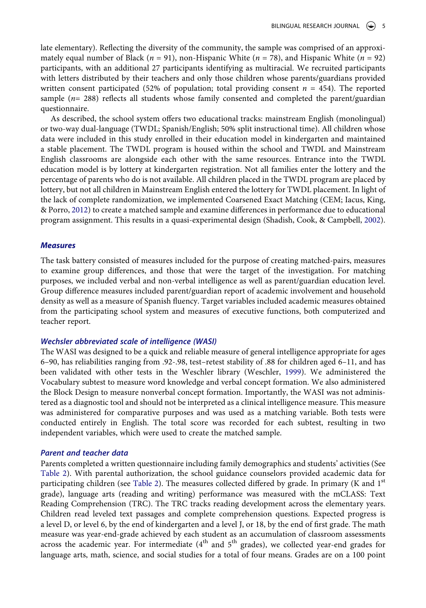late elementary). Reflecting the diversity of the community, the sample was comprised of an approximately equal number of Black (*n* = 91), non-Hispanic White (*n* = 78), and Hispanic White (*n* = 92) participants, with an additional 27 participants identifying as multiracial. We recruited participants with letters distributed by their teachers and only those children whose parents/guardians provided written consent participated (52% of population; total providing consent *n* = 454). The reported sample ( $n= 288$ ) reflects all students whose family consented and completed the parent/guardian questionnaire.

As described, the school system offers two educational tracks: mainstream English (monolingual) or two-way dual-language (TWDL; Spanish/English; 50% split instructional time). All children whose data were included in this study enrolled in their education model in kindergarten and maintained a stable placement. The TWDL program is housed within the school and TWDL and Mainstream English classrooms are alongside each other with the same resources. Entrance into the TWDL education model is by lottery at kindergarten registration. Not all families enter the lottery and the percentage of parents who do is not available. All children placed in the TWDL program are placed by lottery, but not all children in Mainstream English entered the lottery for TWDL placement. In light of the lack of complete randomization, we implemented Coarsened Exact Matching (CEM; Iacus, King, & Porro, [2012](#page-15-16)) to create a matched sample and examine differences in performance due to educational program assignment. This results in a quasi-experimental design (Shadish, Cook, & Campbell, [2002](#page-16-11)).

#### <span id="page-5-1"></span><span id="page-5-0"></span>*Measures*

The task battery consisted of measures included for the purpose of creating matched-pairs, measures to examine group differences, and those that were the target of the investigation. For matching purposes, we included verbal and non-verbal intelligence as well as parent/guardian education level. Group difference measures included parent/guardian report of academic involvement and household density as well as a measure of Spanish fluency. Target variables included academic measures obtained from the participating school system and measures of executive functions, both computerized and teacher report.

#### *Wechsler abbreviated scale of intelligence (WASI)*

<span id="page-5-2"></span>The WASI was designed to be a quick and reliable measure of general intelligence appropriate for ages 6–90, has reliabilities ranging from .92-.98, test–retest stability of .88 for children aged 6–11, and has been validated with other tests in the Weschler library (Weschler, [1999](#page-16-12)). We administered the Vocabulary subtest to measure word knowledge and verbal concept formation. We also administered the Block Design to measure nonverbal concept formation. Importantly, the WASI was not administered as a diagnostic tool and should not be interpreted as a clinical intelligence measure. This measure was administered for comparative purposes and was used as a matching variable. Both tests were conducted entirely in English. The total score was recorded for each subtest, resulting in two independent variables, which were used to create the matched sample.

#### *Parent and teacher data*

Parents completed a written questionnaire including family demographics and students' activities (See [Table 2\)](#page-6-0). With parental authorization, the school guidance counselors provided academic data for participating children (see [Table 2\)](#page-6-0). The measures collected differed by grade. In primary (K and  $1<sup>st</sup>$ grade), language arts (reading and writing) performance was measured with the mCLASS: Text Reading Comprehension (TRC). The TRC tracks reading development across the elementary years. Children read leveled text passages and complete comprehension questions. Expected progress is a level D, or level 6, by the end of kindergarten and a level J, or 18, by the end of first grade. The math measure was year-end-grade achieved by each student as an accumulation of classroom assessments across the academic year. For intermediate  $(4<sup>th</sup>$  and  $5<sup>th</sup>$  grades), we collected year-end grades for language arts, math, science, and social studies for a total of four means. Grades are on a 100 point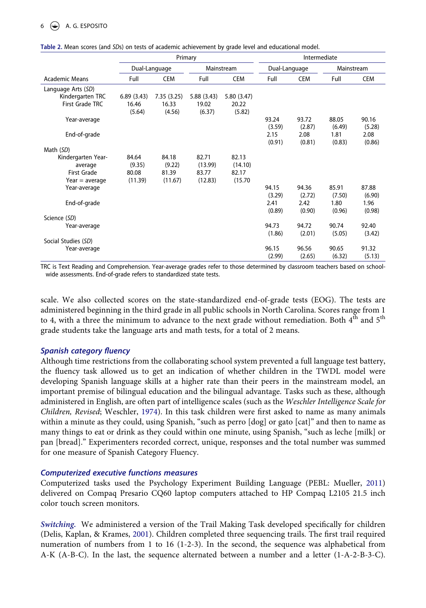|                     |                 |                             | Primary         | Intermediate    |                 |                 |                 |                 |
|---------------------|-----------------|-----------------------------|-----------------|-----------------|-----------------|-----------------|-----------------|-----------------|
|                     |                 | Dual-Language<br>Mainstream |                 | Dual-Language   |                 | Mainstream      |                 |                 |
| Academic Means      | Full            | <b>CEM</b>                  | Full            | <b>CEM</b>      | Full            | <b>CEM</b>      | Full            | CEM             |
| Language Arts (SD)  |                 |                             |                 |                 |                 |                 |                 |                 |
| Kindergarten TRC    | 6.89(3.43)      | 7.35(3.25)                  | 5.88(3.43)      | 5.80(3.47)      |                 |                 |                 |                 |
| First Grade TRC     | 16.46<br>(5.64) | 16.33<br>(4.56)             | 19.02<br>(6.37) | 20.22<br>(5.82) |                 |                 |                 |                 |
| Year-average        |                 |                             |                 |                 | 93.24<br>(3.59) | 93.72<br>(2.87) | 88.05<br>(6.49) | 90.16<br>(5.28) |
| End-of-grade        |                 |                             |                 |                 | 2.15<br>(0.91)  | 2.08<br>(0.81)  | 1.81<br>(0.83)  | 2.08<br>(0.86)  |
| Math (SD)           |                 |                             |                 |                 |                 |                 |                 |                 |
| Kindergarten Year-  | 84.64           | 84.18                       | 82.71           | 82.13           |                 |                 |                 |                 |
| average             | (9.35)          | (9.22)                      | (13.99)         | (14.10)         |                 |                 |                 |                 |
| First Grade         | 80.08           | 81.39                       | 83.77           | 82.17           |                 |                 |                 |                 |
| $Year = average$    | (11.39)         | (11.67)                     | (12.83)         | (15.70)         |                 |                 |                 |                 |
| Year-average        |                 |                             |                 |                 | 94.15           | 94.36           | 85.91           | 87.88           |
|                     |                 |                             |                 |                 | (3.29)          | (2.72)          | (7.50)          | (6.90)          |
| End-of-grade        |                 |                             |                 |                 | 2.41<br>(0.89)  | 2.42<br>(0.90)  | 1.80<br>(0.96)  | 1.96<br>(0.98)  |
| Science (SD)        |                 |                             |                 |                 |                 |                 |                 |                 |
| Year-average        |                 |                             |                 |                 | 94.73           | 94.72           | 90.74           | 92.40           |
|                     |                 |                             |                 |                 | (1.86)          | (2.01)          | (5.05)          | (3.42)          |
| Social Studies (SD) |                 |                             |                 |                 |                 |                 |                 |                 |
| Year-average        |                 |                             |                 |                 | 96.15           | 96.56           | 90.65           | 91.32           |
|                     |                 |                             |                 |                 | (2.99)          | (2.65)          | (6.32)          | (5.13)          |

<span id="page-6-0"></span>**Table 2.** Mean scores (and *SD*s) on tests of academic achievement by grade level and educational model.

TRC is Text Reading and Comprehension. Year-average grades refer to those determined by classroom teachers based on schoolwide assessments. End-of-grade refers to standardized state tests.

scale. We also collected scores on the state-standardized end-of-grade tests (EOG). The tests are administered beginning in the third grade in all public schools in North Carolina. Scores range from 1 to 4, with a three the minimum to advance to the next grade without remediation. Both  $4<sup>th</sup>$  and  $5<sup>th</sup>$ grade students take the language arts and math tests, for a total of 2 means.

## *Spanish category fluency*

<span id="page-6-3"></span>Although time restrictions from the collaborating school system prevented a full language test battery, the fluency task allowed us to get an indication of whether children in the TWDL model were developing Spanish language skills at a higher rate than their peers in the mainstream model, an important premise of bilingual education and the bilingual advantage. Tasks such as these, although administered in English, are often part of intelligence scales (such as the *Weschler Intelligence Scale for Children, Revised*; Weschler, [1974](#page-16-13)). In this task children were first asked to name as many animals within a minute as they could, using Spanish, "such as perro [dog] or gato [cat]" and then to name as many things to eat or drink as they could within one minute, using Spanish, "such as leche [milk] or pan [bread]." Experimenters recorded correct, unique, responses and the total number was summed for one measure of Spanish Category Fluency.

#### *Computerized executive functions measures*

<span id="page-6-2"></span>Computerized tasks used the Psychology Experiment Building Language (PEBL: Mueller, [2011\)](#page-16-14) delivered on Compaq Presario CQ60 laptop computers attached to HP Compaq L2105 21.5 inch color touch screen monitors.

<span id="page-6-1"></span>*Switching.* We administered a version of the Trail Making Task developed specifically for children (Delis, Kaplan, & Krames, [2001](#page-15-17)). Children completed three sequencing trails. The first trail required numeration of numbers from 1 to 16 (1-2-3). In the second, the sequence was alphabetical from A-K (A-B-C). In the last, the sequence alternated between a number and a letter (1-A-2-B-3-C).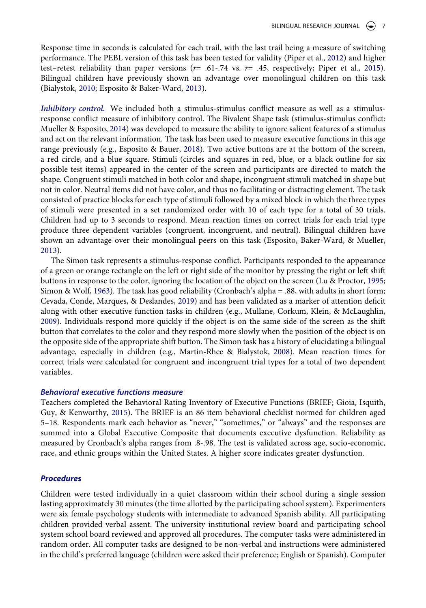<span id="page-7-10"></span><span id="page-7-9"></span>Response time in seconds is calculated for each trail, with the last trail being a measure of switching performance. The PEBL version of this task has been tested for validity (Piper et al., [2012](#page-16-15)) and higher test–retest reliability than paper versions (*r*= .61-.74 vs. *r*= .45, respectively; Piper et al., [2015](#page-16-16)). Bilingual children have previously shown an advantage over monolingual children on this task (Bialystok, [2010;](#page-15-18) Esposito & Baker-Ward, [2013\)](#page-15-14).

<span id="page-7-7"></span><span id="page-7-3"></span><span id="page-7-0"></span>*Inhibitory control.* We included both a stimulus-stimulus conflict measure as well as a stimulusresponse conflict measure of inhibitory control. The Bivalent Shape task (stimulus-stimulus conflict: Mueller & Esposito, [2014](#page-16-17)) was developed to measure the ability to ignore salient features of a stimulus and act on the relevant information. The task has been used to measure executive functions in this age range previously (e.g., Esposito & Bauer, [2018](#page-15-19)). Two active buttons are at the bottom of the screen, a red circle, and a blue square. Stimuli (circles and squares in red, blue, or a black outline for six possible test items) appeared in the center of the screen and participants are directed to match the shape. Congruent stimuli matched in both color and shape, incongruent stimuli matched in shape but not in color. Neutral items did not have color, and thus no facilitating or distracting element. The task consisted of practice blocks for each type of stimuli followed by a mixed block in which the three types of stimuli were presented in a set randomized order with 10 of each type for a total of 30 trials. Children had up to 3 seconds to respond. Mean reaction times on correct trials for each trial type produce three dependent variables (congruent, incongruent, and neutral). Bilingual children have shown an advantage over their monolingual peers on this task (Esposito, Baker-Ward, & Mueller, [2013](#page-15-20)).

<span id="page-7-11"></span><span id="page-7-8"></span><span id="page-7-5"></span><span id="page-7-2"></span><span id="page-7-1"></span>The Simon task represents a stimulus-response conflict. Participants responded to the appearance of a green or orange rectangle on the left or right side of the monitor by pressing the right or left shift buttons in response to the color, ignoring the location of the object on the screen (Lu & Proctor, [1995;](#page-15-21) Simon & Wolf, [1963\)](#page-16-18). The task has good reliability (Cronbach's alpha = .88, with adults in short form; Cevada, Conde, Marques, & Deslandes, [2019\)](#page-15-22) and has been validated as a marker of attention deficit along with other executive function tasks in children (e.g., Mullane, Corkum, Klein, & McLaughlin, [2009](#page-16-19)). Individuals respond more quickly if the object is on the same side of the screen as the shift button that correlates to the color and they respond more slowly when the position of the object is on the opposite side of the appropriate shift button. The Simon task has a history of elucidating a bilingual advantage, especially in children (e.g., Martin-Rhee & Bialystok, [2008\)](#page-16-20). Mean reaction times for correct trials were calculated for congruent and incongruent trial types for a total of two dependent variables.

#### <span id="page-7-6"></span>*Behavioral executive functions measure*

<span id="page-7-4"></span>Teachers completed the Behavioral Rating Inventory of Executive Functions (BRIEF; Gioia, Isquith, Guy, & Kenworthy, [2015](#page-15-23)). The BRIEF is an 86 item behavioral checklist normed for children aged 5–18. Respondents mark each behavior as "never," "sometimes," or "always" and the responses are summed into a Global Executive Composite that documents executive dysfunction. Reliability as measured by Cronbach's alpha ranges from .8-.98. The test is validated across age, socio-economic, race, and ethnic groups within the United States. A higher score indicates greater dysfunction.

#### *Procedures*

Children were tested individually in a quiet classroom within their school during a single session lasting approximately 30 minutes (the time allotted by the participating school system). Experimenters were six female psychology students with intermediate to advanced Spanish ability. All participating children provided verbal assent. The university institutional review board and participating school system school board reviewed and approved all procedures. The computer tasks were administered in random order. All computer tasks are designed to be non-verbal and instructions were administered in the child's preferred language (children were asked their preference; English or Spanish). Computer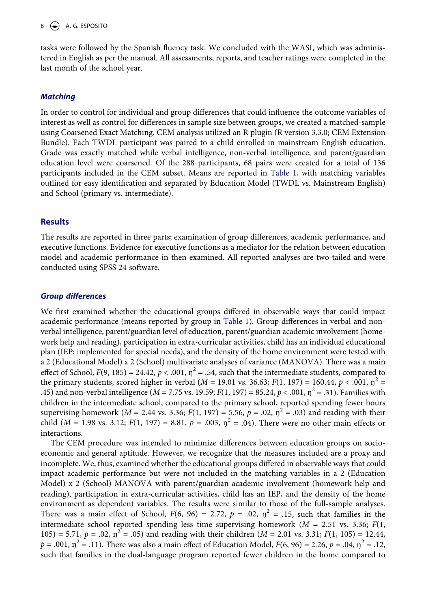## $8 \leftrightarrow$  A. G. ESPOSITO

tasks were followed by the Spanish fluency task. We concluded with the WASI, which was administered in English as per the manual. All assessments, reports, and teacher ratings were completed in the last month of the school year.

## *Matching*

In order to control for individual and group differences that could influence the outcome variables of interest as well as control for differences in sample size between groups, we created a matched-sample using Coarsened Exact Matching. CEM analysis utilized an R plugin (R version 3.3.0; CEM Extension Bundle). Each TWDL participant was paired to a child enrolled in mainstream English education. Grade was exactly matched while verbal intelligence, non-verbal intelligence, and parent/guardian education level were coarsened. Of the 288 participants, 68 pairs were created for a total of 136 participants included in the CEM subset. Means are reported in [Table 1](#page-4-0), with matching variables outlined for easy identification and separated by Education Model (TWDL vs. Mainstream English) and School (primary vs. intermediate).

## **Results**

The results are reported in three parts; examination of group differences, academic performance, and executive functions. Evidence for executive functions as a mediator for the relation between education model and academic performance in then examined. All reported analyses are two-tailed and were conducted using SPSS 24 software.

## *Group differences*

We first examined whether the educational groups differed in observable ways that could impact academic performance (means reported by group in [Table 1\)](#page-4-0). Group differences in verbal and nonverbal intelligence, parent/guardian level of education, parent/guardian academic involvement (homework help and reading), participation in extra-curricular activities, child has an individual educational plan (IEP; implemented for special needs), and the density of the home environment were tested with a 2 (Educational Model) x 2 (School) multivariate analyses of variance (MANOVA). There was a main effect of School,  $F(9, 185) = 24.42$ ,  $p < .001$ ,  $\eta^2 = .54$ , such that the intermediate students, compared to the primary students, scored higher in verbal ( $M = 19.01$  vs. 36.63;  $F(1, 197) = 160.44$ ,  $p < .001$ ,  $n^2 =$ .45) and non-verbal intelligence ( $M = 7.75$  vs. 19.59;  $F(1, 197) = 85.24$ ,  $p < .001$ ,  $\eta^2 = .31$ ). Families with children in the intermediate school, compared to the primary school, reported spending fewer hours supervising homework (*M* = 2.44 vs. 3.36; *F*(1, 197) = 5.56, *p* = .02,  $\eta^2$  = .03) and reading with their child (*M* = 1.98 vs. 3.12;  $F(1, 197) = 8.81$ ,  $p = .003$ ,  $p^2 = .04$ ). There were no other main effects or interactions.

The CEM procedure was intended to minimize differences between education groups on socioeconomic and general aptitude. However, we recognize that the measures included are a proxy and incomplete. We, thus, examined whether the educational groups differed in observable ways that could impact academic performance but were not included in the matching variables in a 2 (Education Model) x 2 (School) MANOVA with parent/guardian academic involvement (homework help and reading), participation in extra-curricular activities, child has an IEP, and the density of the home environment as dependent variables. The results were similar to those of the full-sample analyses. There was a main effect of School,  $F(6, 96) = 2.72$ ,  $p = .02$ ,  $\eta^2 = .15$ , such that families in the intermediate school reported spending less time supervising homework (*M* = 2.51 vs. 3.36; *F*(1, 105) = 5.71,  $p = .02$ ,  $\eta^2 = .05$ ) and reading with their children (*M* = 2.01 vs. 3.31; *F*(1, 105) = 12.44,  $p = .001$ ,  $p^2 = .11$ ). There was also a main effect of Education Model,  $F(6, 96) = 2.26$ ,  $p = .04$ ,  $p^2 = .12$ , such that families in the dual-language program reported fewer children in the home compared to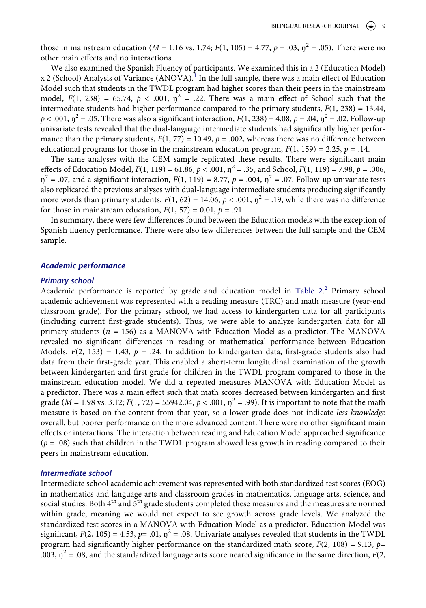those in mainstream education ( $M = 1.16$  vs. 1.74;  $F(1, 105) = 4.77$ ,  $p = .03$ ,  $p^2 = .05$ ). There were no other main effects and no interactions.

We also examined the Spanish Fluency of participants. We examined this in a 2 (Education Model)  $x$  2 (School) Analysis of Variance (ANOVA).<sup>1</sup> In the full sample, there was a main effect of Education Model such that students in the TWDL program had higher scores than their peers in the mainstream model,  $F(1, 238) = 65.74$ ,  $p < .001$ ,  $\eta^2 = .22$ . There was a main effect of School such that the intermediate students had higher performance compared to the primary students,  $F(1, 238) = 13.44$ ,  $p < .001$ ,  $p^2 = .05$ . There was also a significant interaction,  $F(1, 238) = 4.08$ ,  $p = .04$ ,  $p^2 = .02$ . Follow-up univariate tests revealed that the dual-language intermediate students had significantly higher performance than the primary students,  $F(1, 77) = 10.49$ ,  $p = .002$ , whereas there was no difference between educational programs for those in the mainstream education program,  $F(1, 159) = 2.25$ ,  $p = .14$ .

The same analyses with the CEM sample replicated these results. There were significant main effects of Education Model,  $F(1, 119) = 61.86$ ,  $p < .001$ ,  $\eta^2 = .35$ , and School,  $F(1, 119) = 7.98$ ,  $p = .006$ ,  $\eta^2$  = .07, and a significant interaction,  $F(1, 119) = 8.77$ ,  $p = .004$ ,  $\eta^2 = .07$ . Follow-up univariate tests also replicated the previous analyses with dual-language intermediate students producing significantly more words than primary students,  $F(1, 62) = 14.06$ ,  $p < .001$ ,  $\eta^2 = .19$ , while there was no difference for those in mainstream education,  $F(1, 57) = 0.01$ ,  $p = .91$ .

In summary, there were few differences found between the Education models with the exception of Spanish fluency performance. There were also few differences between the full sample and the CEM sample.

#### *Academic performance*

#### *Primary school*

Academic performance is reported by grade and education model in [Table 2.](#page-6-0)<sup>[2](#page-14-1)</sup> Primary school academic achievement was represented with a reading measure (TRC) and math measure (year-end classroom grade). For the primary school, we had access to kindergarten data for all participants (including current first-grade students). Thus, we were able to analyze kindergarten data for all primary students ( $n = 156$ ) as a MANOVA with Education Model as a predictor. The MANOVA revealed no significant differences in reading or mathematical performance between Education Models,  $F(2, 153) = 1.43$ ,  $p = .24$ . In addition to kindergarten data, first-grade students also had data from their first-grade year. This enabled a short-term longitudinal examination of the growth between kindergarten and first grade for children in the TWDL program compared to those in the mainstream education model. We did a repeated measures MANOVA with Education Model as a predictor. There was a main effect such that math scores decreased between kindergarten and first grade ( $M = 1.98$  vs. 3.12;  $F(1, 72) = 55942.04$ ,  $p < .001$ ,  $p^2 = .99$ ). It is important to note that the math measure is based on the content from that year, so a lower grade does not indicate *less knowledge*  overall, but poorer performance on the more advanced content. There were no other significant main effects or interactions. The interaction between reading and Education Model approached significance (*p* = .08) such that children in the TWDL program showed less growth in reading compared to their peers in mainstream education.

#### *Intermediate school*

Intermediate school academic achievement was represented with both standardized test scores (EOG) in mathematics and language arts and classroom grades in mathematics, language arts, science, and social studies. Both  $4<sup>th</sup>$  and  $5<sup>th</sup>$  grade students completed these measures and the measures are normed within grade, meaning we would not expect to see growth across grade levels. We analyzed the standardized test scores in a MANOVA with Education Model as a predictor. Education Model was significant,  $F(2, 105) = 4.53$ ,  $p = .01$ ,  $n^2 = .08$ . Univariate analyses revealed that students in the TWDL program had significantly higher performance on the standardized math score,  $F(2, 108) = 9.13$ ,  $p=$ .003,  $\eta^2$  = .08, and the standardized language arts score neared significance in the same direction, *F*(2,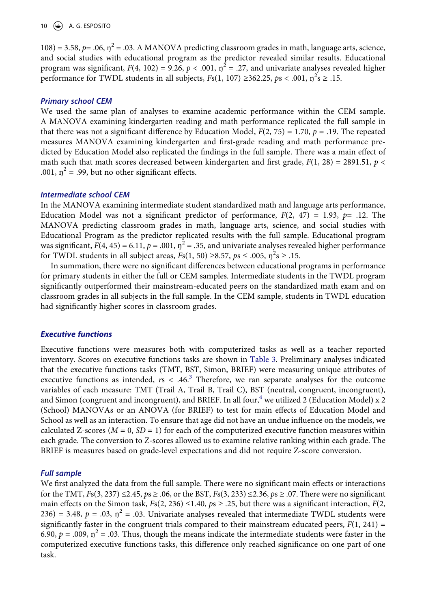## 10  $\left(\bigstar\right)$  A. G. ESPOSITO

 $108$ ) = 3.58,  $p$  = .06,  $\eta^2$  = .03. A MANOVA predicting classroom grades in math, language arts, science, and social studies with educational program as the predictor revealed similar results. Educational program was significant,  $F(4, 102) = 9.26$ ,  $p < .001$ ,  $\eta^2 = .27$ , and univariate analyses revealed higher performance for TWDL students in all subjects,  $Fs(1, 107) \ge 362.25$ ,  $ps < .001$ ,  $\eta^2 s \ge .15$ .

## *Primary school CEM*

We used the same plan of analyses to examine academic performance within the CEM sample. A MANOVA examining kindergarten reading and math performance replicated the full sample in that there was not a significant difference by Education Model,  $F(2, 75) = 1.70$ ,  $p = .19$ . The repeated measures MANOVA examining kindergarten and first-grade reading and math performance predicted by Education Model also replicated the findings in the full sample. There was a main effect of math such that math scores decreased between kindergarten and first grade,  $F(1, 28) = 2891.51$ ,  $p <$ .001,  $\eta^2$  = .99, but no other significant effects.

#### *Intermediate school CEM*

In the MANOVA examining intermediate student standardized math and language arts performance, Education Model was not a significant predictor of performance,  $F(2, 47) = 1.93$ ,  $p = .12$ . The MANOVA predicting classroom grades in math, language arts, science, and social studies with Educational Program as the predictor replicated results with the full sample. Educational program was significant,  $F(4, 45) = 6.11$ ,  $p = .001$ ,  $\eta^2 = .35$ , and univariate analyses revealed higher performance for TWDL students in all subject areas,  $Fs(1, 50) \ge 8.57$ ,  $ps \le .005$ ,  $\eta^2 s \ge .15$ .

In summation, there were no significant differences between educational programs in performance for primary students in either the full or CEM samples. Intermediate students in the TWDL program significantly outperformed their mainstream-educated peers on the standardized math exam and on classroom grades in all subjects in the full sample. In the CEM sample, students in TWDL education had significantly higher scores in classroom grades.

## *Executive functions*

Executive functions were measures both with computerized tasks as well as a teacher reported inventory. Scores on executive functions tasks are shown in [Table 3](#page-11-0). Preliminary analyses indicated that the executive functions tasks (TMT, BST, Simon, BRIEF) were measuring unique attributes of executive functions as intended,  $rs < .46$ .<sup>[3](#page-14-2)</sup> Therefore, we ran separate analyses for the outcome variables of each measure: TMT (Trail A, Trail B, Trail C), BST (neutral, congruent, incongruent), and Simon (congruent and incongruent), and BRIEF. In all four,<sup>[4](#page-14-3)</sup> we utilized 2 (Education Model) x 2 (School) MANOVAs or an ANOVA (for BRIEF) to test for main effects of Education Model and School as well as an interaction. To ensure that age did not have an undue influence on the models, we calculated Z-scores ( $M = 0$ ,  $SD = 1$ ) for each of the computerized executive function measures within each grade. The conversion to Z-scores allowed us to examine relative ranking within each grade. The BRIEF is measures based on grade-level expectations and did not require Z-score conversion.

## *Full sample*

We first analyzed the data from the full sample. There were no significant main effects or interactions for the TMT,  $F_s(3, 237) \le 2.45$ ,  $p_s \ge 0.06$ , or the BST,  $F_s(3, 233) \le 2.36$ ,  $p_s \ge 0.07$ . There were no significant main effects on the Simon task,  $Fs(2, 236) \le 1.40$ ,  $ps \ge 0.25$ , but there was a significant interaction,  $F(2, 100)$  $236$ ) = 3.48,  $p = .03$ ,  $\eta^2 = .03$ . Univariate analyses revealed that intermediate TWDL students were significantly faster in the congruent trials compared to their mainstream educated peers,  $F(1, 241) =$ 6.90,  $p = .009$ ,  $\eta^2 = .03$ . Thus, though the means indicate the intermediate students were faster in the computerized executive functions tasks, this difference only reached significance on one part of one task.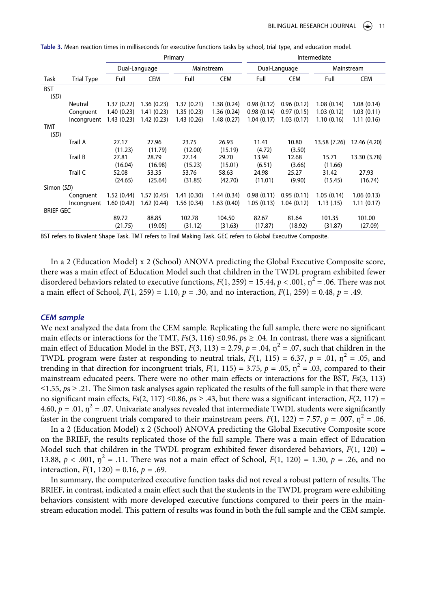|                    |                   |               |            | Primary     |            | Intermediate  |            |              |              |  |
|--------------------|-------------------|---------------|------------|-------------|------------|---------------|------------|--------------|--------------|--|
|                    |                   | Dual-Language |            | Mainstream  |            | Dual-Language |            | Mainstream   |              |  |
| Task               | <b>Trial Type</b> | Full          | <b>CEM</b> | Full        | <b>CEM</b> | Full          | <b>CEM</b> | Full         | <b>CEM</b>   |  |
| <b>BST</b><br>(SD) |                   |               |            |             |            |               |            |              |              |  |
|                    | Neutral           | 1.37(0.22)    | 1.36(0.23) | 1.37(0.21)  | 1.38(0.24) | 0.98(0.12)    | 0.96(0.12) | 1.08(0.14)   | 1.08(0.14)   |  |
|                    | Congruent         | 1.40(0.23)    | 1.41(0.23) | 1.35(0.23)  | 1.36(0.24) | 0.98(0.14)    | 0.97(0.15) | 1.03(0.12)   | 1.03(0.11)   |  |
|                    | Incongruent       | 1.43(0.23)    | 1.42(0.23) | 1.43 (0.26) | 1.48(0.27) | 1.04(0.17)    | 1.03(0.17) | 1.10(0.16)   | 1.11(0.16)   |  |
| <b>TMT</b><br>(SD) |                   |               |            |             |            |               |            |              |              |  |
|                    | Trail A           | 27.17         | 27.96      | 23.75       | 26.93      | 11.41         | 10.80      | 13.58 (7.26) | 12.46 (4.20) |  |
|                    |                   | (11.23)       | (11.79)    | (12.00)     | (15.19)    | (4.72)        | (3.50)     |              |              |  |
|                    | Trail B           | 27.81         | 28.79      | 27.14       | 29.70      | 13.94         | 12.68      | 15.71        | 13.30 (3.78) |  |
|                    |                   | (16.04)       | (16.98)    | (15.23)     | (15.01)    | (6.51)        | (3.66)     | (11.66)      |              |  |
|                    | Trail C           | 52.08         | 53.35      | 53.76       | 58.63      | 24.98         | 25.27      | 31.42        | 27.93        |  |
|                    |                   | (24.65)       | (25.64)    | (31.85)     | (42.70)    | (11.01)       | (9.90)     | (15.45)      | (16.74)      |  |
| Simon (SD)         |                   |               |            |             |            |               |            |              |              |  |
|                    | Congruent         | 1.52(0.44)    | 1.57(0.45) | 1.41(0.30)  | 1.44(0.34) | 0.98(0.11)    | 0.95(0.11) | 1.05(0.14)   | 1.06(0.13)   |  |
|                    | Incongruent       | 1.60(0.42)    | 1.62(0.44) | 1.56 (0.34) | 1.63(0.40) | 1.05(0.13)    | 1.04(0.12) | 1.13(0.15)   | 1.11(0.17)   |  |
| <b>BRIEF GEC</b>   |                   |               |            |             |            |               |            |              |              |  |
|                    |                   | 89.72         | 88.85      | 102.78      | 104.50     | 82.67         | 81.64      | 101.35       | 101.00       |  |
|                    |                   | (21.75)       | (19.05)    | (31.12)     | (31.63)    | (17.87)       | (18.92)    | (31.87)      | (27.09)      |  |

<span id="page-11-0"></span>

| Table 3. Mean reaction times in milliseconds for executive functions tasks by school, trial type, and education model. |  |  |
|------------------------------------------------------------------------------------------------------------------------|--|--|
|------------------------------------------------------------------------------------------------------------------------|--|--|

BST refers to Bivalent Shape Task. TMT refers to Trail Making Task. GEC refers to Global Executive Composite.

In a 2 (Education Model) x 2 (School) ANOVA predicting the Global Executive Composite score, there was a main effect of Education Model such that children in the TWDL program exhibited fewer disordered behaviors related to executive functions,  $F(1, 259) = 15.44$ ,  $p < .001$ ,  $\eta^2 = .06$ . There was not a main effect of School,  $F(1, 259) = 1.10$ ,  $p = .30$ , and no interaction,  $F(1, 259) = 0.48$ ,  $p = .49$ .

#### *CEM sample*

We next analyzed the data from the CEM sample. Replicating the full sample, there were no significant main effects or interactions for the TMT,  $F<sub>S</sub>(3, 116) \le 0.96$ ,  $p \ge 0.04$ . In contrast, there was a significant main effect of Education Model in the BST,  $F(3, 113) = 2.79$ ,  $p = .04$ ,  $\eta^2 = .07$ , such that children in the TWDL program were faster at responding to neutral trials,  $F(1, 115) = 6.37$ ,  $p = .01$ ,  $p^2 = .05$ , and trending in that direction for incongruent trials,  $F(1, 115) = 3.75$ ,  $p = .05$ ,  $n^2 = .03$ , compared to their mainstream educated peers. There were no other main effects or interactions for the BST, *F*s(3, 113) ≤1.55, *p*s ≥ .21. The Simon task analyses again replicated the results of the full sample in that there were no significant main effects,  $F_s(2, 117) \le 0.86$ ,  $ps \ge .43$ , but there was a significant interaction,  $F(2, 117) =$ 4.60,  $p = .01$ ,  $\eta^2 = .07$ . Univariate analyses revealed that intermediate TWDL students were significantly faster in the congruent trials compared to their mainstream peers,  $F(1, 122) = 7.57$ ,  $p = .007$ ,  $\eta^2 = .06$ .

In a 2 (Education Model) x 2 (School) ANOVA predicting the Global Executive Composite score on the BRIEF, the results replicated those of the full sample. There was a main effect of Education Model such that children in the TWDL program exhibited fewer disordered behaviors, *F*(1, 120) = 13.88,  $p < .001$ ,  $\eta^2 = .11$ . There was not a main effect of School,  $F(1, 120) = 1.30$ ,  $p = .26$ , and no interaction,  $F(1, 120) = 0.16$ ,  $p = .69$ .

In summary, the computerized executive function tasks did not reveal a robust pattern of results. The BRIEF, in contrast, indicated a main effect such that the students in the TWDL program were exhibiting behaviors consistent with more developed executive functions compared to their peers in the mainstream education model. This pattern of results was found in both the full sample and the CEM sample.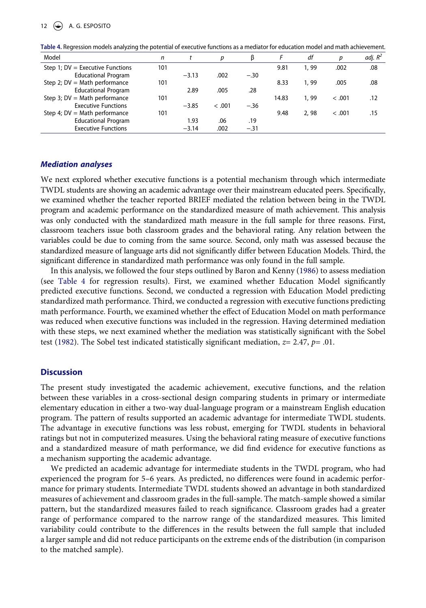| Model                              | n   |         |        |        |       | df    | p      | adj. $R^2$ |
|------------------------------------|-----|---------|--------|--------|-------|-------|--------|------------|
| Step 1; $DV =$ Executive Functions | 101 |         |        |        | 9.81  | 1, 99 | .002   | .08        |
| <b>Educational Program</b>         |     | $-3.13$ | .002   | $-.30$ |       |       |        |            |
| Step 2; $DV = Math$ performance    | 101 |         |        |        | 8.33  | 1, 99 | .005   | .08        |
| <b>Educational Program</b>         |     | 2.89    | .005   | .28    |       |       |        |            |
| Step 3; $DV = Math$ performance    | 101 |         |        |        | 14.83 | 1, 99 | < .001 | .12        |
| <b>Executive Functions</b>         |     | $-3.85$ | < .001 | $-.36$ |       |       |        |            |
| Step 4; $DV = Math$ performance    | 101 |         |        |        | 9.48  | 2,98  | < .001 | .15        |
| <b>Educational Program</b>         |     | 1.93    | .06    | .19    |       |       |        |            |
| <b>Executive Functions</b>         |     | $-3.14$ | .002   | $-.31$ |       |       |        |            |

<span id="page-12-0"></span>**Table 4.** Regression models analyzing the potential of executive functions as a mediator for education model and math achievement.

## *Mediation analyses*

We next explored whether executive functions is a potential mechanism through which intermediate TWDL students are showing an academic advantage over their mainstream educated peers. Specifically, we examined whether the teacher reported BRIEF mediated the relation between being in the TWDL program and academic performance on the standardized measure of math achievement. This analysis was only conducted with the standardized math measure in the full sample for three reasons. First, classroom teachers issue both classroom grades and the behavioral rating. Any relation between the variables could be due to coming from the same source. Second, only math was assessed because the standardized measure of language arts did not significantly differ between Education Models. Third, the significant difference in standardized math performance was only found in the full sample.

<span id="page-12-1"></span>In this analysis, we followed the four steps outlined by Baron and Kenny [\(1986](#page-15-24)) to assess mediation (see [Table 4](#page-12-0) for regression results). First, we examined whether Education Model significantly predicted executive functions. Second, we conducted a regression with Education Model predicting standardized math performance. Third, we conducted a regression with executive functions predicting math performance. Fourth, we examined whether the effect of Education Model on math performance was reduced when executive functions was included in the regression. Having determined mediation with these steps, we next examined whether the mediation was statistically significant with the Sobel test [\(1982](#page-16-21)). The Sobel test indicated statistically significant mediation, *z*= 2.47, *p*= .01.

## <span id="page-12-2"></span>**Discussion**

The present study investigated the academic achievement, executive functions, and the relation between these variables in a cross-sectional design comparing students in primary or intermediate elementary education in either a two-way dual-language program or a mainstream English education program. The pattern of results supported an academic advantage for intermediate TWDL students. The advantage in executive functions was less robust, emerging for TWDL students in behavioral ratings but not in computerized measures. Using the behavioral rating measure of executive functions and a standardized measure of math performance, we did find evidence for executive functions as a mechanism supporting the academic advantage.

We predicted an academic advantage for intermediate students in the TWDL program, who had experienced the program for 5–6 years. As predicted, no differences were found in academic performance for primary students. Intermediate TWDL students showed an advantage in both standardized measures of achievement and classroom grades in the full-sample. The match-sample showed a similar pattern, but the standardized measures failed to reach significance. Classroom grades had a greater range of performance compared to the narrow range of the standardized measures. This limited variability could contribute to the differences in the results between the full sample that included a larger sample and did not reduce participants on the extreme ends of the distribution (in comparison to the matched sample).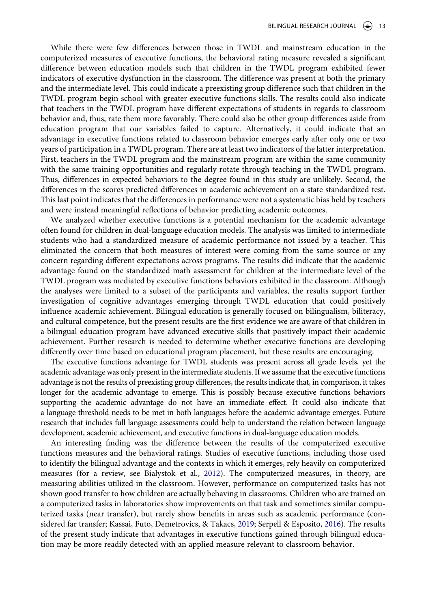While there were few differences between those in TWDL and mainstream education in the computerized measures of executive functions, the behavioral rating measure revealed a significant difference between education models such that children in the TWDL program exhibited fewer indicators of executive dysfunction in the classroom. The difference was present at both the primary and the intermediate level. This could indicate a preexisting group difference such that children in the TWDL program begin school with greater executive functions skills. The results could also indicate that teachers in the TWDL program have different expectations of students in regards to classroom behavior and, thus, rate them more favorably. There could also be other group differences aside from education program that our variables failed to capture. Alternatively, it could indicate that an advantage in executive functions related to classroom behavior emerges early after only one or two years of participation in a TWDL program. There are at least two indicators of the latter interpretation. First, teachers in the TWDL program and the mainstream program are within the same community with the same training opportunities and regularly rotate through teaching in the TWDL program. Thus, differences in expected behaviors to the degree found in this study are unlikely. Second, the differences in the scores predicted differences in academic achievement on a state standardized test. This last point indicates that the differences in performance were not a systematic bias held by teachers and were instead meaningful reflections of behavior predicting academic outcomes.

We analyzed whether executive functions is a potential mechanism for the academic advantage often found for children in dual-language education models. The analysis was limited to intermediate students who had a standardized measure of academic performance not issued by a teacher. This eliminated the concern that both measures of interest were coming from the same source or any concern regarding different expectations across programs. The results did indicate that the academic advantage found on the standardized math assessment for children at the intermediate level of the TWDL program was mediated by executive functions behaviors exhibited in the classroom. Although the analyses were limited to a subset of the participants and variables, the results support further investigation of cognitive advantages emerging through TWDL education that could positively influence academic achievement. Bilingual education is generally focused on bilingualism, biliteracy, and cultural competence, but the present results are the first evidence we are aware of that children in a bilingual education program have advanced executive skills that positively impact their academic achievement. Further research is needed to determine whether executive functions are developing differently over time based on educational program placement, but these results are encouraging.

The executive functions advantage for TWDL students was present across all grade levels, yet the academic advantage was only present in the intermediate students. If we assume that the executive functions advantage is not the results of preexisting group differences, the results indicate that, in comparison, it takes longer for the academic advantage to emerge. This is possibly because executive functions behaviors supporting the academic advantage do not have an immediate effect. It could also indicate that a language threshold needs to be met in both languages before the academic advantage emerges. Future research that includes full language assessments could help to understand the relation between language development, academic achievement, and executive functions in dual-language education models.

<span id="page-13-0"></span>An interesting finding was the difference between the results of the computerized executive functions measures and the behavioral ratings. Studies of executive functions, including those used to identify the bilingual advantage and the contexts in which it emerges, rely heavily on computerized measures (for a review, see Bialystok et al., [2012\)](#page-15-7). The computerized measures, in theory, are measuring abilities utilized in the classroom. However, performance on computerized tasks has not shown good transfer to how children are actually behaving in classrooms. Children who are trained on a computerized tasks in laboratories show improvements on that task and sometimes similar computerized tasks (near transfer), but rarely show benefits in areas such as academic performance (considered far transfer; Kassai, Futo, Demetrovics, & Takacs, [2019;](#page-15-25) Serpell & Esposito, [2016](#page-16-4)). The results of the present study indicate that advantages in executive functions gained through bilingual education may be more readily detected with an applied measure relevant to classroom behavior.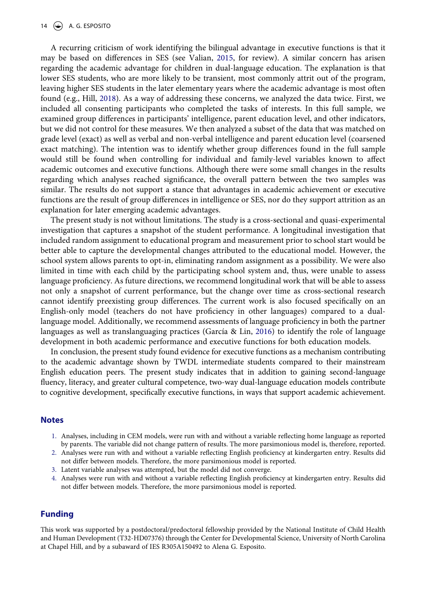#### 14  $\left(\bigstar\right)$  A. G. ESPOSITO

A recurring criticism of work identifying the bilingual advantage in executive functions is that it may be based on differences in SES (see Valian, [2015,](#page-16-6) for review). A similar concern has arisen regarding the academic advantage for children in dual-language education. The explanation is that lower SES students, who are more likely to be transient, most commonly attrit out of the program, leaving higher SES students in the later elementary years where the academic advantage is most often found (e.g., Hill, [2018](#page-15-5)). As a way of addressing these concerns, we analyzed the data twice. First, we included all consenting participants who completed the tasks of interests. In this full sample, we examined group differences in participants' intelligence, parent education level, and other indicators, but we did not control for these measures. We then analyzed a subset of the data that was matched on grade level (exact) as well as verbal and non-verbal intelligence and parent education level (coarsened exact matching). The intention was to identify whether group differences found in the full sample would still be found when controlling for individual and family-level variables known to affect academic outcomes and executive functions. Although there were some small changes in the results regarding which analyses reached significance, the overall pattern between the two samples was similar. The results do not support a stance that advantages in academic achievement or executive functions are the result of group differences in intelligence or SES, nor do they support attrition as an explanation for later emerging academic advantages.

The present study is not without limitations. The study is a cross-sectional and quasi-experimental investigation that captures a snapshot of the student performance. A longitudinal investigation that included random assignment to educational program and measurement prior to school start would be better able to capture the developmental changes attributed to the educational model. However, the school system allows parents to opt-in, eliminating random assignment as a possibility. We were also limited in time with each child by the participating school system and, thus, were unable to assess language proficiency. As future directions, we recommend longitudinal work that will be able to assess not only a snapshot of current performance, but the change over time as cross-sectional research cannot identify preexisting group differences. The current work is also focused specifically on an English-only model (teachers do not have proficiency in other languages) compared to a duallanguage model. Additionally, we recommend assessments of language proficiency in both the partner languages as well as translanguaging practices (García & Lin, [2016\)](#page-15-26) to identify the role of language development in both academic performance and executive functions for both education models.

<span id="page-14-4"></span>In conclusion, the present study found evidence for executive functions as a mechanism contributing to the academic advantage shown by TWDL intermediate students compared to their mainstream English education peers. The present study indicates that in addition to gaining second-language fluency, literacy, and greater cultural competence, two-way dual-language education models contribute to cognitive development, specifically executive functions, in ways that support academic achievement.

#### **Notes**

- <span id="page-14-0"></span>1. Analyses, including in CEM models, were run with and without a variable reflecting home language as reported by parents. The variable did not change pattern of results. The more parsimonious model is, therefore, reported.
- <span id="page-14-1"></span>2. Analyses were run with and without a variable reflecting English proficiency at kindergarten entry. Results did not differ between models. Therefore, the more parsimonious model is reported.
- <span id="page-14-2"></span>3. Latent variable analyses was attempted, but the model did not converge.
- <span id="page-14-3"></span>4. Analyses were run with and without a variable reflecting English proficiency at kindergarten entry. Results did not differ between models. Therefore, the more parsimonious model is reported.

### **Funding**

This work was supported by a postdoctoral/predoctoral fellowship provided by the National Institute of Child Health and Human Development (T32-HD07376) through the Center for Developmental Science, University of North Carolina at Chapel Hill, and by a subaward of IES R305A150492 to Alena G. Esposito.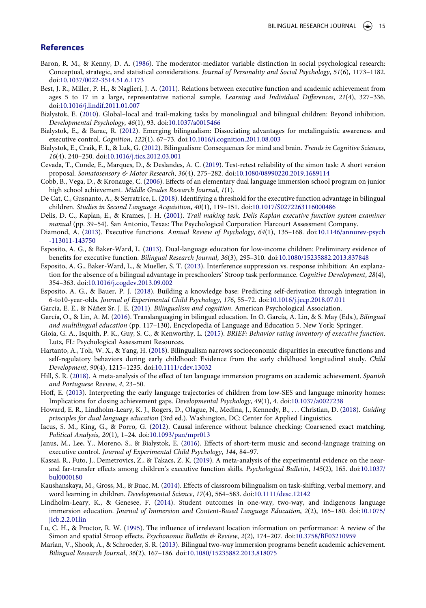#### **References**

- <span id="page-15-24"></span>Baron, R. M., & Kenny, D. A. [\(1986](#page-12-1)). The moderator-mediator variable distinction in social psychological research: Conceptual, strategic, and statistical considerations. *Journal of Personality and Social Psychology*, *51*(6), 1173–1182. doi:[10.1037/0022-3514.51.6.1173](https://doi.org/10.1037/0022-3514.51.6.1173)
- <span id="page-15-15"></span>Best, J. R., Miller, P. H., & Naglieri, J. A. [\(2011\)](#page-3-0). Relations between executive function and academic achievement from ages 5 to 17 in a large, representative national sample. *Learning and Individual Differences*, *21*(4), 327–336. doi:[10.1016/j.lindif.2011.01.007](https://doi.org/10.1016/j.lindif.2011.01.007)
- <span id="page-15-18"></span>Bialystok, E. [\(2010\)](#page-7-0). Global–local and trail-making tasks by monolingual and bilingual children: Beyond inhibition. *Developmental Psychology*, *46*(1), 93. doi:[10.1037/a0015466](https://doi.org/10.1037/a0015466)
- <span id="page-15-11"></span>Bialystok, E., & Barac, R. [\(2012\)](#page-3-1). Emerging bilingualism: Dissociating advantages for metalinguistic awareness and executive control. *Cognition*, *122*(1), 67–73. doi:[10.1016/j.cognition.2011.08.003](https://doi.org/10.1016/j.cognition.2011.08.003)
- <span id="page-15-7"></span>Bialystok, E., Craik, F. I., & Luk, G. ([2012](#page-2-0)). Bilingualism: Consequences for mind and brain. *Trends in Cognitive Sciences*, *16*(4), 240–250. doi:[10.1016/j.tics.2012.03.001](https://doi.org/10.1016/j.tics.2012.03.001)
- <span id="page-15-22"></span>Cevada, T., Conde, E., Marques, D., & Deslandes, A. C. ([2019](#page-7-1)). Test-retest reliability of the simon task: A short version proposal. *Somatosensory & Motor Research*, *36*(4), 275–282. doi:[10.1080/08990220.2019.1689114](https://doi.org/10.1080/08990220.2019.1689114)
- <span id="page-15-4"></span>Cobb, B., Vega, D., & Kronauge, C. ([2006](#page-2-1)). Effects of an elementary dual language immersion school program on junior high school achievement. *Middle Grades Research Journal*, *1*(1).
- <span id="page-15-10"></span>De Cat, C., Gusnanto, A., & Serratrice, L. ([2018\)](#page-2-2). Identifying a threshold for the executive function advantage in bilingual children. *Studies in Second Language Acquisition*, *40*(1), 119–151. doi:[10.1017/S0272263116000486](https://doi.org/10.1017/S0272263116000486)
- <span id="page-15-17"></span>Delis, D. C., Kaplan, E., & Krames, J. H. ([2001](#page-6-1)). *Trail making task. Delis Kaplan executive function system examiner manual* (pp. 39–54). San Antonio, Texas: The Psychological Corporation Harcourt Assessment Company.
- <span id="page-15-8"></span>Diamond, A. ([2013](#page-2-3)). Executive functions. *Annual Review of Psychology*, *64*(1), 135–168. doi:[10.1146/annurev-psych](https://doi.org/10.1146/annurev-psych-113011-143750)  [-113011-143750](https://doi.org/10.1146/annurev-psych-113011-143750)
- <span id="page-15-14"></span>Esposito, A. G., & Baker-Ward, L. ([2013](#page-3-2)). Dual-language education for low-income children: Preliminary evidence of benefits for executive function. *Bilingual Research Journal*, *36*(3), 295–310. doi:[10.1080/15235882.2013.837848](https://doi.org/10.1080/15235882.2013.837848)
- <span id="page-15-20"></span>Esposito, A. G., Baker-Ward, L., & Mueller, S. T. [\(2013](#page-7-2)). Interference suppression vs. response inhibition: An explanation for the absence of a bilingual advantage in preschoolers' Stroop task performance. *Cognitive Development*, *28*(4), 354–363. doi:[10.1016/j.cogdev.2013.09.002](https://doi.org/10.1016/j.cogdev.2013.09.002)
- <span id="page-15-19"></span>Esposito, A. G., & Bauer, P. J. ([2018](#page-7-3)). Building a knowledge base: Predicting self-derivation through integration in 6-to10-year-olds. *Journal of Experimental Child Psychology*, *176*, 55–72. doi:[10.1016/j.jecp.2018.07.011](https://doi.org/10.1016/j.jecp.2018.07.011)
- <span id="page-15-0"></span>García, E. E., & Náñez Sr, J. E. ([2011\)](#page-1-0). *Bilingualism and cognition*. American Psychological Association.
- <span id="page-15-26"></span>García, O., & Lin, A. M. ([2016\)](#page-14-4). Translanguaging in bilingual education. In O. García, A. Lin, & S. May (Eds.), *Bilingual and multilingual education* (pp. 117–130), Encyclopedia of Language and Education 5. New York: Springer.
- <span id="page-15-23"></span>Gioia, G. A., Isquith, P. K., Guy, S. C., & Kenworthy, L. ([2015](#page-7-4)). *BRIEF: Behavior rating inventory of executive function*. Lutz, FL: Psychological Assessment Resources.
- <span id="page-15-13"></span>Hartanto, A., Toh, W. X., & Yang, H. ([2018](#page-3-3)). Bilingualism narrows socioeconomic disparities in executive functions and self-regulatory behaviors during early childhood: Evidence from the early childhood longitudinal study. *Child Development*, *90*(4), 1215–1235. doi:[10.1111/cdev.13032](https://doi.org/10.1111/cdev.13032)
- <span id="page-15-5"></span>Hill, S. R. ([2018\).](#page-2-4) A meta-analysis of the effect of ten language immersion programs on academic achievement. *Spanish and Portuguese Review*, *4*, 23–50.
- <span id="page-15-6"></span>Hoff, E. [\(2013](#page-2-5)). Interpreting the early language trajectories of children from low-SES and language minority homes: Implications for closing achievement gaps. *Developmental Psychology*, *49*(1), 4. doi:[10.1037/a0027238](https://doi.org/10.1037/a0027238)
- <span id="page-15-3"></span>Howard, E. R., Lindholm-Leary, K. J., Rogers, D., Olague, N., Medina, J., Kennedy, B., . . . Christian, D. [\(2018\)](#page-1-1). *Guiding principles for dual language education* (3rd ed.). Washington, DC: Center for Applied Linguistics.
- <span id="page-15-16"></span>Iacus, S. M., King, G., & Porro, G. ([2012](#page-5-0)). Causal inference without balance checking: Coarsened exact matching. *Political Analysis*, *20*(1), 1–24. doi:[10.1093/pan/mpr013](https://doi.org/10.1093/pan/mpr013)
- <span id="page-15-9"></span>Janus, M., Lee, Y., Moreno, S., & Bialystok, E. [\(2016](#page-2-6)). Effects of short-term music and second-language training on executive control. *Journal of Experimental Child Psychology*, *144*, 84–97.
- <span id="page-15-25"></span>Kassai, R., Futo, J., Demetrovics, Z., & Takacs, Z. K. ([2019](#page-13-0)). A meta-analysis of the experimental evidence on the nearand far-transfer effects among children's executive function skills. *Psychological Bulletin*, *145*(2), 165. doi:[10.1037/](https://doi.org/10.1037/bul0000180) [bul0000180](https://doi.org/10.1037/bul0000180)
- <span id="page-15-12"></span>Kaushanskaya, M., Gross, M., & Buac, M. ([2014\)](#page-3-4). Effects of classroom bilingualism on task-shifting, verbal memory, and word learning in children. *Developmental Science*, *17*(4), 564–583. doi:[10.1111/desc.12142](https://doi.org/10.1111/desc.12142)
- <span id="page-15-1"></span>Lindholm-Leary, K., & Genesee, F. ([2014](#page-1-0)). Student outcomes in one-way, two-way, and indigenous language immersion education. *Journal of Immersion and Content-Based Language Education*, *2*(2), 165–180. doi:[10.1075/](https://doi.org/10.1075/jicb.2.2.01lin) [jicb.2.2.01lin](https://doi.org/10.1075/jicb.2.2.01lin)
- <span id="page-15-21"></span>Lu, C. H., & Proctor, R. W. [\(1995\)](#page-7-5). The influence of irrelevant location information on performance: A review of the Simon and spatial Stroop effects. *Psychonomic Bulletin & Review*, *2*(2), 174–207. doi:[10.3758/BF03210959](https://doi.org/10.3758/BF03210959)
- <span id="page-15-2"></span>Marian, V., Shook, A., & Schroeder, S. R. [\(2013\)](#page-1-2). Bilingual two-way immersion programs benefit academic achievement. *Bilingual Research Journal*, *36*(2), 167–186. doi:[10.1080/15235882.2013.818075](https://doi.org/10.1080/15235882.2013.818075)